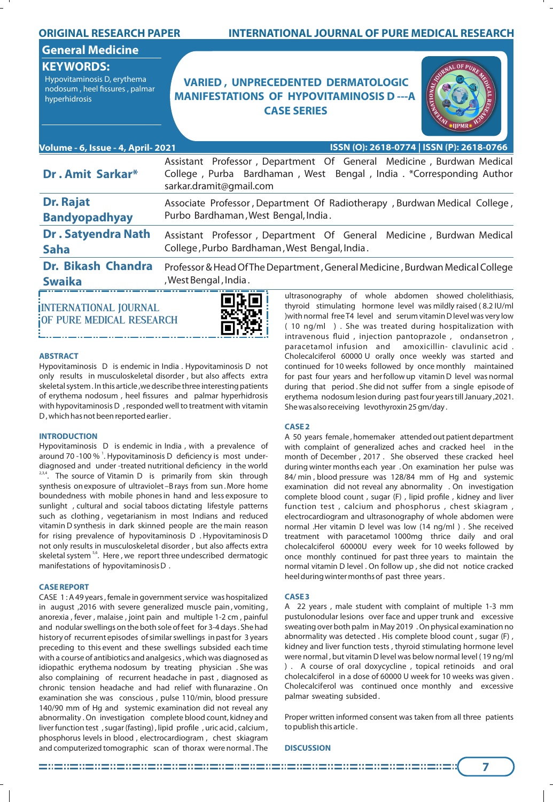| <b>ORIGINAL RESEARCH PAPER</b>                                                                     | <b>INTERNATIONAL JOURNAL OF PURE MEDICAL RESEARCH</b>                                                                                                                  |
|----------------------------------------------------------------------------------------------------|------------------------------------------------------------------------------------------------------------------------------------------------------------------------|
| <b>General Medicine</b>                                                                            |                                                                                                                                                                        |
| <b>KEYWORDS:</b><br>Hypovitaminosis D, erythema<br>nodosum, heel fissures, palmar<br>hyperhidrosis | <b>VARIED, UNPRECEDENTED DERMATOLOGIC</b><br><b>MANIFESTATIONS OF HYPOVITAMINOSIS D--- A</b><br><b>CASE SERIES</b>                                                     |
| ISSN (O): 2618-0774   ISSN (P): 2618-0766<br>Volume - 6, Issue - 4, April- 2021                    |                                                                                                                                                                        |
| Dr. Amit Sarkar*                                                                                   | Assistant Professor, Department Of General Medicine, Burdwan Medical<br>College, Purba Bardhaman, West Bengal, India. *Corresponding Author<br>sarkar.dramit@gmail.com |
| <b>Dr. Rajat</b><br><b>Bandyopadhyay</b>                                                           | Associate Professor, Department Of Radiotherapy, Burdwan Medical College,<br>Purbo Bardhaman, West Bengal, India.                                                      |
| <b>Dr. Satyendra Nath</b><br><b>Saha</b>                                                           | Assistant Professor, Department Of General Medicine, Burdwan Medical<br>College, Purbo Bardhaman, West Bengal, India.                                                  |
| <b>Dr. Bikash Chandra</b><br><b>Swaika</b>                                                         | Professor & Head Of The Department, General Medicine, Burdwan Medical College<br>, West Bengal, India.                                                                 |
|                                                                                                    | ultrasonography of whole abdomen showed cholelithiasis,<br>e Se el                                                                                                     |

**INTERNATIONAL JOURNAL OF PURE MEDICAL RESEARCH**



#### **ABSTRACT**

Hypovitaminosis D is endemic in India . Hypovitaminosis D not only results in musculoskeletal disorder , but also affects extra skeletal system . In this article ,we describe three interesting patients of erythema nodosum, heel fissures and palmar hyperhidrosis with hypovitaminosis D , responded well to treatment with vitamin D , which has not been reported earlier .

# **INTRODUCTION**

Hypovitaminosis D is endemic in India , with a prevalence of around 70 -100 % <sup>1</sup>. Hypovitaminosis D deficiency is most underdiagnosed and under -treated nutritional deficiency in the world  $2^{2,3,4}$ . The source of Vitamin D is primarily from skin through synthesis on exposure of ultraviolet –B rays from sun . More home boundedness with mobile phones in hand and less exposure to sunlight , cultural and social taboos dictating lifestyle patterns such as clothing , vegetarianism in most Indians and reduced vitamin D synthesis in dark skinned people are the main reason for rising prevalence of hypovitaminosis D . Hypovitaminosis D not only results in musculoskeletal disorder , but also affects extra skeletal system<sup>5,6</sup>. Here, we report three undescribed dermatogic manifestations of hypovitaminosis D .

# **CASE REPORT**

CASE 1 : A 49 years , female in government service was hospitalized in august ,2016 with severe generalized muscle pain , vomiting , anorexia , fever , malaise , joint pain and multiple 1-2 cm , painful and nodular swellings on the both sole of feet for 3-4 days . She had history of recurrent episodes of similar swellings in past for 3 years preceding to this event and these swellings subsided each time with a course of antibiotics and analgesics , which was diagnosed as idiopathic erythema nodosum by treating physician . She was also complaining of recurrent headache in past , diagnosed as chronic tension headache and had relief with flunarazine. On examination she was conscious , pulse 110/min, blood pressure 140/90 mm of Hg and systemic examination did not reveal any abnormality . On investigation complete blood count, kidney and liver function test, sugar (fasting), lipid profile, uric acid, calcium, phosphorus levels in blood , electrocardiogram , chest skiagram and computerized tomographic scan of thorax were normal . The

thyroid stimulating hormone level was mildly raised ( 8.2 IU/ml )with normal free T4 level and serum vitamin D level was very low ( 10 ng/ml ) . She was treated during hospitalization with intravenous fluid, injection pantoprazole, ondansetron, paracetamol infusion and amoxicillin- clavulinic acid . Cholecalciferol 60000 U orally once weekly was started and continued for 10 weeks followed by once monthly maintained for past four years and her follow up vitamin D level was normal during that period . She did not suffer from a single episode of erythema nodosum lesion during past four years till January ,2021. She was also receiving levothyroxin 25 gm/day .

#### **CASE 2**

A 50 years female , homemaker attended out patient department with complaint of generalized aches and cracked heel in the month of December , 2017 . She observed these cracked heel during winter months each year . On examination her pulse was 84/ min , blood pressure was 128/84 mm of Hg and systemic examination did not reveal any abnormality . On investigation complete blood count, sugar (F), lipid profile, kidney and liver function test , calcium and phosphorus , chest skiagram , electrocardiogram and ultrasonography of whole abdomen were normal .Her vitamin D level was low (14 ng/ml ) . She received treatment with paracetamol 1000mg thrice daily and oral cholecalciferol 60000U every week for 10 weeks followed by once monthly continued for past three years to maintain the normal vitamin D level . On follow up , she did not notice cracked heel during winter months of past three years .

## **CASE 3**

A 22 years , male student with complaint of multiple 1-3 mm pustulonodular lesions over face and upper trunk and excessive sweating over both palm in May 2019 . On physical examination no abnormality was detected . His complete blood count , sugar (F) , kidney and liver function tests , thyroid stimulating hormone level were normal , but vitamin D level was below normal level ( 19 ng/ml ) . A course of oral doxycycline , topical retinoids and oral cholecalciferol in a dose of 60000 U week for 10 weeks was given . Cholecalciferol was continued once monthly and excessive palmar sweating subsided .

Proper written informed consent was taken from all three patients to publish this article .

#### **DISCUSSION**

**7**